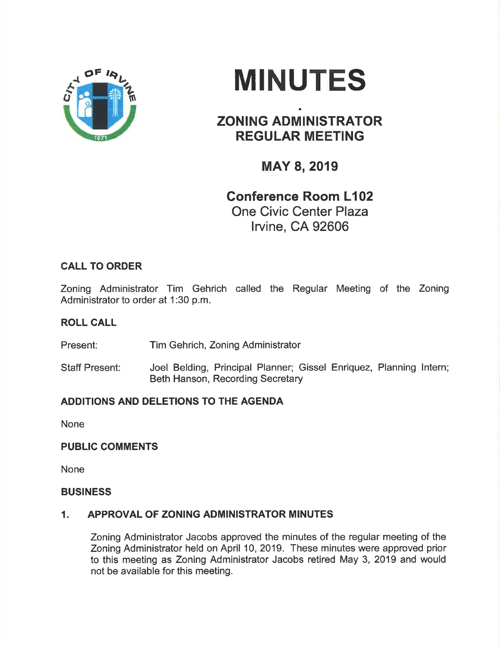



# ZONING ADMINISTRATOR REGULAR MEETING

¡

## MAY 8, 2019

### Gonference Room L102 One Civic Center Plaza lrvine, CA 92606

### CALL TO ORDER

Zoning Administrator Tim Gehrich called the Regular Meeting of the Zoning Administrator to order at 1:30 p.m.

#### ROLL CALL

Present: Tim Gehrich, Zoning Administrator

Staff Present: Joel Belding, Principal Planner; Gissel Enriquez, Planning lntern; Beth Hanson, Recording Secretary

#### ADDITIONS AND DELETIONS TO THE AGENDA

None

#### PUBLIC COMMENTS

None

#### **BUSINESS**

#### 1. APPROVAL OF ZONING ADMINISTRATOR MINUTES

Zoning Administrator Jacobs approved the minutes of the regular meeting of the Zoning Administrator held on April 10,2019. These minutes were approved prior to this meeting as Zoning Administrator Jacobs retired May 3, 2019 and would not be available for this meeting.